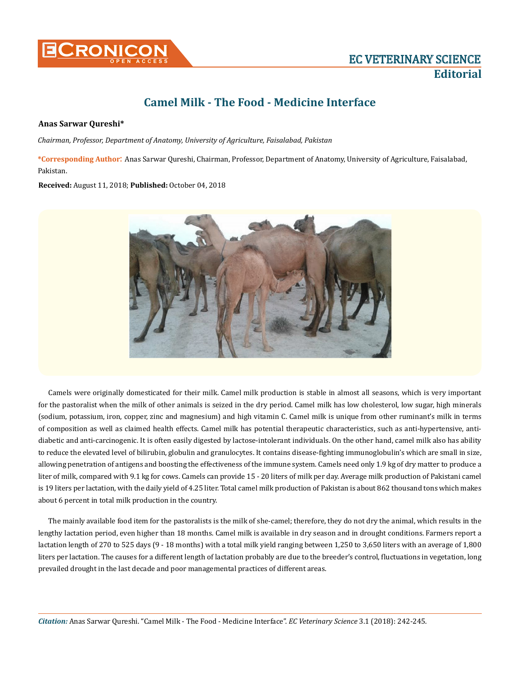

## **Camel Milk - The Food - Medicine Interface**

## **Anas Sarwar Qureshi\***

*Chairman, Professor, Department of Anatomy, University of Agriculture, Faisalabad, Pakistan*

**\*Corresponding Author**: Anas Sarwar Qureshi, Chairman, Professor, Department of Anatomy, University of Agriculture, Faisalabad, Pakistan.

**Received:** August 11, 2018; **Published:** October 04, 2018



Camels were originally domesticated for their milk. Camel milk production is stable in almost all seasons, which is very important for the pastoralist when the milk of other animals is seized in the dry period. Camel milk has low cholesterol, low sugar, high minerals (sodium, potassium, iron, copper, zinc and magnesium) and high vitamin C. Camel milk is unique from other ruminant's milk in terms of composition as well as claimed health effects. Camel milk has potential therapeutic characteristics, such as anti-hypertensive, antidiabetic and anti-carcinogenic. It is often easily digested by lactose-intolerant individuals. On the other hand, camel milk also has ability to reduce the elevated level of bilirubin, globulin and granulocytes. It contains disease-fighting immunoglobulin's which are small in size, allowing penetration of antigens and boosting the effectiveness of the immune system. Camels need only 1.9 kg of dry matter to produce a liter of milk, compared with 9.1 kg for cows. Camels can provide 15 - 20 liters of milk per day. Average milk production of Pakistani camel is 19 liters per lactation, with the daily yield of 4.25 liter. Total camel milk production of Pakistan is about 862 thousand tons which makes about 6 percent in total milk production in the country.

The mainly available food item for the pastoralists is the milk of she-camel; therefore, they do not dry the animal, which results in the lengthy lactation period, even higher than 18 months. Camel milk is available in dry season and in drought conditions. Farmers report a lactation length of 270 to 525 days (9 - 18 months) with a total milk yield ranging between 1,250 to 3,650 liters with an average of 1,800 liters per lactation. The causes for a different length of lactation probably are due to the breeder's control, fluctuations in vegetation, long prevailed drought in the last decade and poor managemental practices of different areas.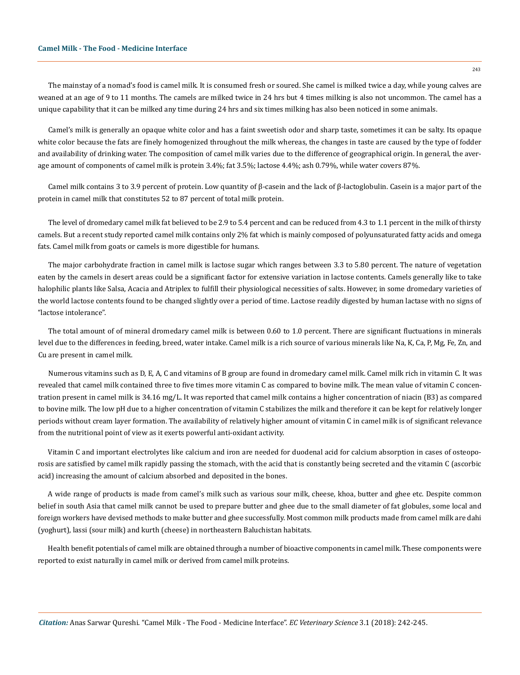The mainstay of a nomad's food is camel milk. It is consumed fresh or soured. She camel is milked twice a day, while young calves are weaned at an age of 9 to 11 months. The camels are milked twice in 24 hrs but 4 times milking is also not uncommon. The camel has a unique capability that it can be milked any time during 24 hrs and six times milking has also been noticed in some animals.

Camel's milk is generally an opaque white color and has a faint sweetish odor and sharp taste, sometimes it can be salty. Its opaque white color because the fats are finely homogenized throughout the milk whereas, the changes in taste are caused by the type of fodder and availability of drinking water. The composition of camel milk varies due to the difference of geographical origin. In general, the average amount of components of camel milk is protein 3.4%; fat 3.5%; lactose 4.4%; ash 0.79%, while water covers 87%.

Camel milk contains 3 to 3.9 percent of protein. Low quantity of β-casein and the lack of β-lactoglobulin. Casein is a major part of the protein in camel milk that constitutes 52 to 87 percent of total milk protein.

The level of dromedary camel milk fat believed to be 2.9 to 5.4 percent and can be reduced from 4.3 to 1.1 percent in the milk of thirsty camels. But a recent study reported camel milk contains only 2% fat which is mainly composed of polyunsaturated fatty acids and omega fats. Camel milk from goats or camels is more digestible for humans.

The major carbohydrate fraction in camel milk is lactose sugar which ranges between 3.3 to 5.80 percent. The nature of vegetation eaten by the camels in desert areas could be a significant factor for extensive variation in lactose contents. Camels generally like to take halophilic plants like Salsa, Acacia and Atriplex to fulfill their physiological necessities of salts. However, in some dromedary varieties of the world lactose contents found to be changed slightly over a period of time. Lactose readily digested by human lactase with no signs of "lactose intolerance".

The total amount of of mineral dromedary camel milk is between 0.60 to 1.0 percent. There are significant fluctuations in minerals level due to the differences in feeding, breed, water intake. Camel milk is a rich source of various minerals like Na, K, Ca, P, Mg, Fe, Zn, and Cu are present in camel milk.

Numerous vitamins such as D, E, A, C and vitamins of B group are found in dromedary camel milk. Camel milk rich in vitamin C. It was revealed that camel milk contained three to five times more vitamin C as compared to bovine milk. The mean value of vitamin C concentration present in camel milk is 34.16 mg/L. It was reported that camel milk contains a higher concentration of niacin (B3) as compared to bovine milk. The low pH due to a higher concentration of vitamin C stabilizes the milk and therefore it can be kept for relatively longer periods without cream layer formation. The availability of relatively higher amount of vitamin C in camel milk is of significant relevance from the nutritional point of view as it exerts powerful anti-oxidant activity.

Vitamin C and important electrolytes like calcium and iron are needed for duodenal acid for calcium absorption in cases of osteoporosis are satisfied by camel milk rapidly passing the stomach, with the acid that is constantly being secreted and the vitamin C (ascorbic acid) increasing the amount of calcium absorbed and deposited in the bones.

A wide range of products is made from camel's milk such as various sour milk, cheese, khoa, butter and ghee etc. Despite common belief in south Asia that camel milk cannot be used to prepare butter and ghee due to the small diameter of fat globules, some local and foreign workers have devised methods to make butter and ghee successfully. Most common milk products made from camel milk are dahi (yoghurt), lassi (sour milk) and kurth (cheese) in northeastern Baluchistan habitats.

Health benefit potentials of camel milk are obtained through a number of bioactive components in camel milk. These components were reported to exist naturally in camel milk or derived from camel milk proteins.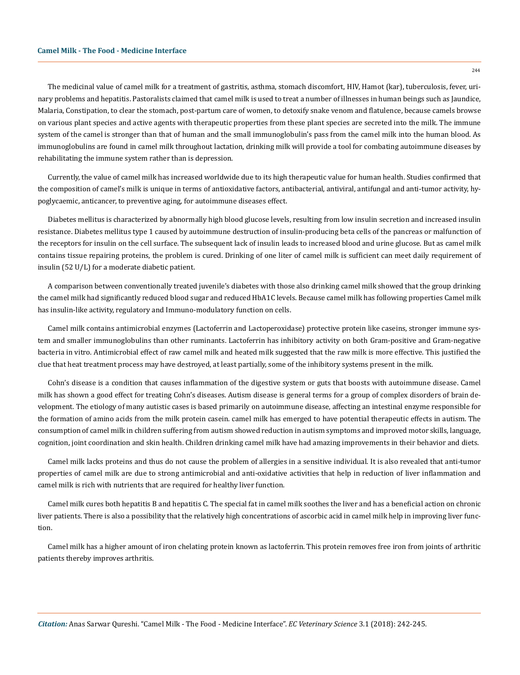The medicinal value of camel milk for a treatment of gastritis, asthma, stomach discomfort, HIV, Hamot (kar), tuberculosis, fever, urinary problems and hepatitis. Pastoralists claimed that camel milk is used to treat a number of illnesses in human beings such as Jaundice, Malaria, Constipation, to clear the stomach, post-partum care of women, to detoxify snake venom and flatulence, because camels browse on various plant species and active agents with therapeutic properties from these plant species are secreted into the milk. The immune system of the camel is stronger than that of human and the small immunoglobulin's pass from the camel milk into the human blood. As immunoglobulins are found in camel milk throughout lactation, drinking milk will provide a tool for combating autoimmune diseases by rehabilitating the immune system rather than is depression.

Currently, the value of camel milk has increased worldwide due to its high therapeutic value for human health. Studies confirmed that the composition of camel's milk is unique in terms of antioxidative factors, antibacterial, antiviral, antifungal and anti-tumor activity, hypoglycaemic, anticancer, to preventive aging, for autoimmune diseases effect.

Diabetes mellitus is characterized by abnormally high blood glucose levels, resulting from low insulin secretion and increased insulin resistance. Diabetes mellitus type 1 caused by autoimmune destruction of insulin-producing beta cells of the pancreas or malfunction of the receptors for insulin on the cell surface. The subsequent lack of insulin leads to increased blood and urine glucose. But as camel milk contains tissue repairing proteins, the problem is cured. Drinking of one liter of camel milk is sufficient can meet daily requirement of insulin (52 U/L) for a moderate diabetic patient.

A comparison between conventionally treated juvenile's diabetes with those also drinking camel milk showed that the group drinking the camel milk had significantly reduced blood sugar and reduced HbA1C levels. Because camel milk has following properties Camel milk has insulin-like activity, regulatory and Immuno-modulatory function on cells.

Camel milk contains antimicrobial enzymes (Lactoferrin and Lactoperoxidase) protective protein like caseins, stronger immune system and smaller immunoglobulins than other ruminants. Lactoferrin has inhibitory activity on both Gram-positive and Gram-negative bacteria in vitro. Antimicrobial effect of raw camel milk and heated milk suggested that the raw milk is more effective. This justified the clue that heat treatment process may have destroyed, at least partially, some of the inhibitory systems present in the milk.

Cohn's disease is a condition that causes inflammation of the digestive system or guts that boosts with autoimmune disease. Camel milk has shown a good effect for treating Cohn's diseases. Autism disease is general terms for a group of complex disorders of brain development. The etiology of many autistic cases is based primarily on autoimmune disease, affecting an intestinal enzyme responsible for the formation of amino acids from the milk protein casein. camel milk has emerged to have potential therapeutic effects in autism. The consumption of camel milk in children suffering from autism showed reduction in autism symptoms and improved motor skills, language, cognition, joint coordination and skin health. Children drinking camel milk have had amazing improvements in their behavior and diets.

Camel milk lacks proteins and thus do not cause the problem of allergies in a sensitive individual. It is also revealed that anti-tumor properties of camel milk are due to strong antimicrobial and anti-oxidative activities that help in reduction of liver inflammation and camel milk is rich with nutrients that are required for healthy liver function.

Camel milk cures both hepatitis B and hepatitis C. The special fat in camel milk soothes the liver and has a beneficial action on chronic liver patients. There is also a possibility that the relatively high concentrations of ascorbic acid in camel milk help in improving liver function.

Camel milk has a higher amount of iron chelating protein known as lactoferrin. This protein removes free iron from joints of arthritic patients thereby improves arthritis.

 $244$